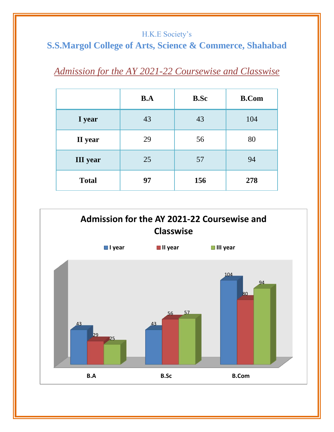#### H.K.E Society's

## **S.S.Margol College of Arts, Science & Commerce, Shahabad**

# *Admission for the AY 2021-22 Coursewise and Classwise*

|                 | B.A | <b>B.Sc</b> | <b>B.Com</b> |
|-----------------|-----|-------------|--------------|
| I year          | 43  | 43          | 104          |
| II year         | 29  | 56          | 80           |
| <b>III</b> year | 25  | 57          | 94           |
| <b>Total</b>    | 97  | 156         | 278          |

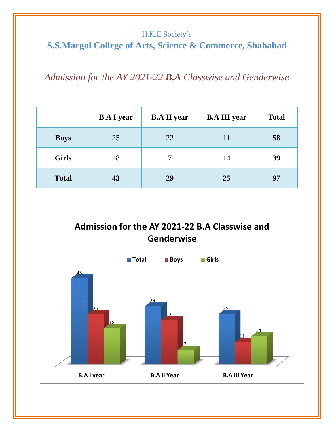#### H.K.E Society's

# **S.S.Margol College of Arts, Science & Commerce, Shahabad**

## *Admission for the AY 2021-22 B.A Classwise and Genderwise*

|              | <b>B.A I year</b> | <b>B.A II year</b> | <b>B.A III year</b> | <b>Total</b> |
|--------------|-------------------|--------------------|---------------------|--------------|
| <b>Boys</b>  | 25                | 22                 | 11                  | 58           |
| <b>Girls</b> | 18                |                    | 14                  | 39           |
| <b>Total</b> | 43                | 29                 | 25                  | 97           |

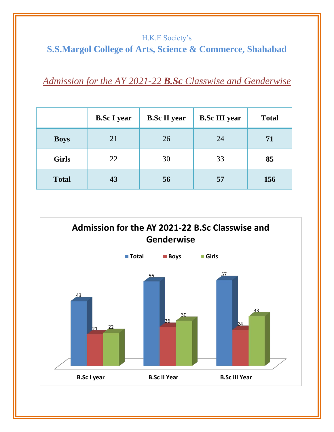### H.K.E Society's **S.S.Margol College of Arts, Science & Commerce, Shahabad**

*Admission for the AY 2021-22 B.Sc Classwise and Genderwise*

|              | <b>B.Sc I year</b> | <b>B.Sc II year</b> | <b>B.Sc III year</b> | <b>Total</b> |
|--------------|--------------------|---------------------|----------------------|--------------|
| <b>Boys</b>  | 21                 | 26                  | 24                   | 71           |
| <b>Girls</b> | 22                 | 30                  | 33                   | 85           |
| <b>Total</b> | 43                 | 56                  | 57                   | 156          |